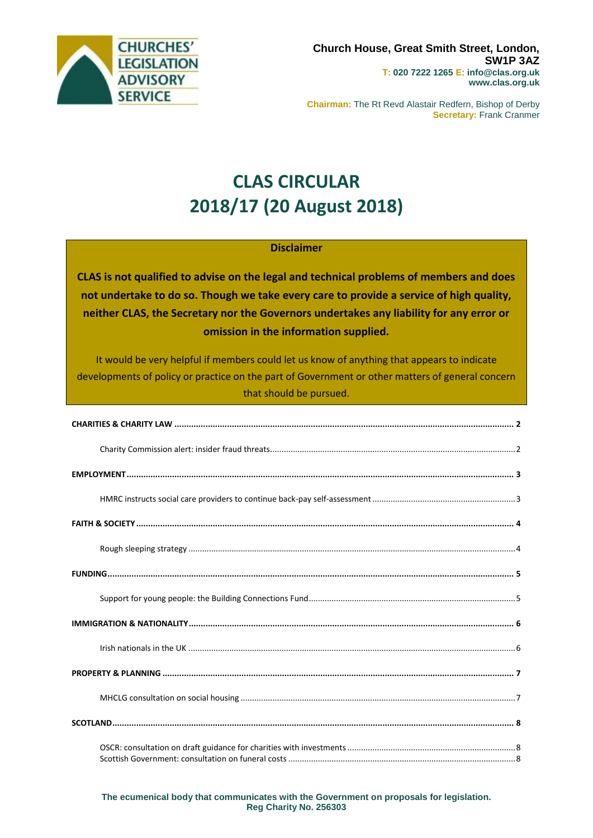

**Chairman:** The Rt Revd Alastair Redfern, Bishop of Derby **Secretary:** Frank Cranmer

# **CLAS CIRCULAR 2018/17 (20 August 2018)**

#### **Disclaimer**

**CLAS is not qualified to advise on the legal and technical problems of members and does not undertake to do so. Though we take every care to provide a service of high quality, neither CLAS, the Secretary nor the Governors undertakes any liability for any error or omission in the information supplied.**

It would be very helpful if members could let us know of anything that appears to indicate developments of policy or practice on the part of Government or other matters of general concern that should be pursued.

#### **The ecumenical body that communicates with the Government on proposals for legislation. Reg Charity No. 256303**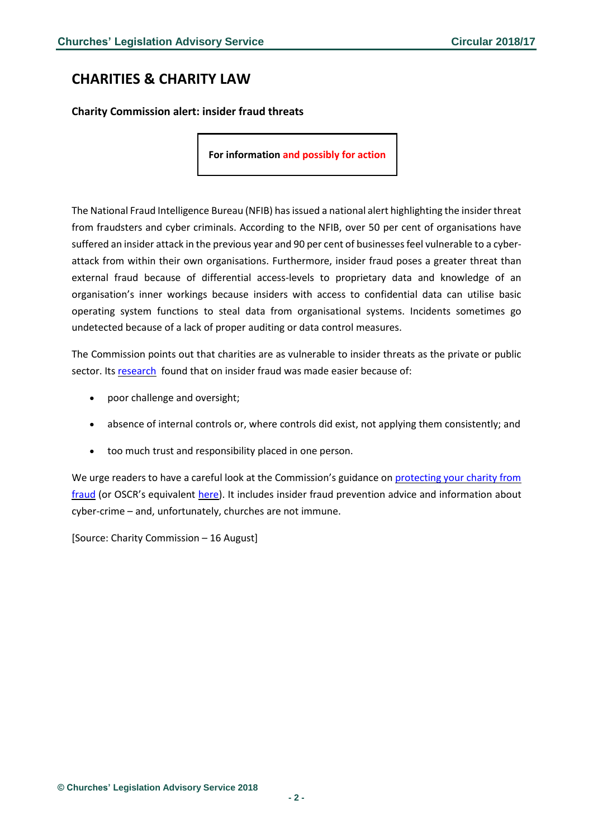## <span id="page-1-0"></span>**CHARITIES & CHARITY LAW**

<span id="page-1-1"></span>**Charity Commission alert: insider fraud threats**

**For information and possibly for action**

The National Fraud Intelligence Bureau (NFIB) has issued a national alert highlighting the insider threat from fraudsters and cyber criminals. According to the NFIB, over 50 per cent of organisations have suffered an insider attack in the previous year and 90 per cent of businessesfeel vulnerable to a cyberattack from within their own organisations. Furthermore, insider fraud poses a greater threat than external fraud because of differential access-levels to proprietary data and knowledge of an organisation's inner workings because insiders with access to confidential data can utilise basic operating system functions to steal data from organisational systems. Incidents sometimes go undetected because of a lack of proper auditing or data control measures.

The Commission points out that charities are as vulnerable to insider threats as the private or public sector. Its [research](https://www.gov.uk/government/publications/focus-on-insider-fraud-in-charities) found that on insider fraud was made easier because of:

- poor challenge and oversight;
- absence of internal controls or, where controls did exist, not applying them consistently; and
- too much trust and responsibility placed in one person.

We urge readers to have a careful look at the Commission's guidance on [protecting](https://www.gov.uk/guidance/protect-your-charity-from-fraud) your charity from [fraud](https://www.gov.uk/guidance/protect-your-charity-from-fraud) (or OSCR's equivalent [here\)](https://www.oscr.org.uk/guidance-and-forms/fraud-how-to-reduce-the-risks-in-your-charity/what-is-fraud). It includes insider fraud prevention advice and information about cyber-crime – and, unfortunately, churches are not immune.

[Source: Charity Commission – 16 August]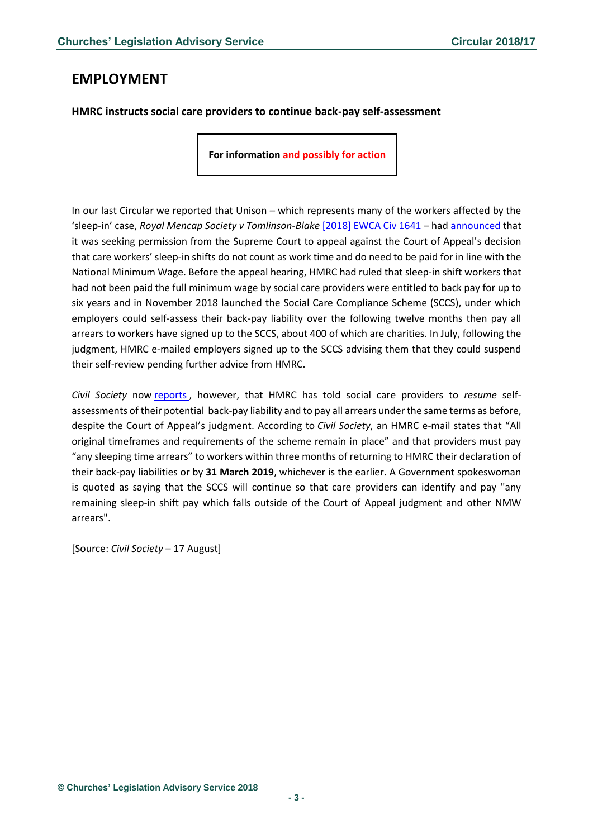### <span id="page-2-0"></span>**EMPLOYMENT**

#### <span id="page-2-1"></span>**HMRC instructs social care providers to continue back-pay self-assessment**

**For information and possibly for action**

In our last Circular we reported that Unison – which represents many of the workers affected by the 'sleep-in' case, *Royal Mencap Society v Tomlinson-Blake* [\[2018\] EWCA Civ 1641](http://www.bailii.org/ew/cases/EWCA/Civ/2018/1641.html) – had [announced](https://www.unison.org.uk/news/2018/08/sleep-in-appeal/) that it was seeking permission from the Supreme Court to appeal against the Court of Appeal's decision that care workers' sleep-in shifts do not count as work time and do need to be paid for in line with the National Minimum Wage. Before the appeal hearing, HMRC had ruled that sleep-in shift workers that had not been paid the full minimum wage by social care providers were entitled to back pay for up to six years and in November 2018 launched the Social Care Compliance Scheme (SCCS), under which employers could self-assess their back-pay liability over the following twelve months then pay all arrears to workers have signed up to the SCCS, about 400 of which are charities. In July, following the judgment, HMRC e-mailed employers signed up to the SCCS advising them that they could suspend their self-review pending further advice from HMRC.

*Civil Society* now [reports](https://www.civilsociety.co.uk/news/hmrc-tells-social-care-charities-to-resume-back-pay-reviews-400m.html?utm_source=Civil+Society+News+List&utm_campaign=3bc50f8617-EMAIL_CAMPAIGN_2018_08_17_12_27&utm_medium=email&utm_term=0_26f393b813-3bc50f8617-86512189) , however, that HMRC has told social care providers to *resume* selfassessments of their potential back-pay liability and to pay all arrears under the same terms as before, despite the Court of Appeal's judgment. According to *Civil Society*, an HMRC e-mail states that "All original timeframes and requirements of the scheme remain in place" and that providers must pay "any sleeping time arrears" to workers within three months of returning to HMRC their declaration of their back-pay liabilities or by **31 March 2019**, whichever is the earlier. A Government spokeswoman is quoted as saying that the SCCS will continue so that care providers can identify and pay "any remaining sleep-in shift pay which falls outside of the Court of Appeal judgment and other NMW arrears".

[Source: *Civil Society* – 17 August]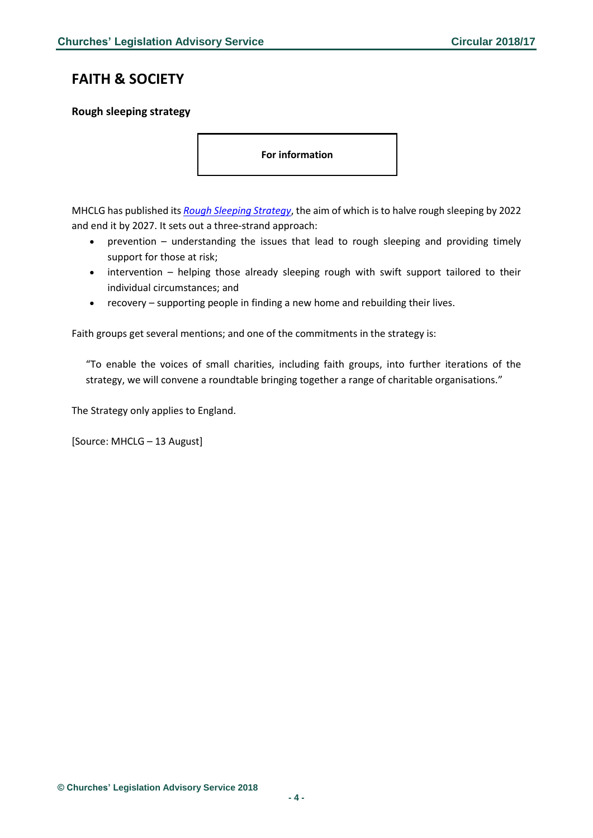### <span id="page-3-0"></span>**FAITH & SOCIETY**

#### <span id="page-3-1"></span>**Rough sleeping strategy**

**For information**

MHCLG has published its *[Rough Sleeping Strategy](https://assets.publishing.service.gov.uk/government/uploads/system/uploads/attachment_data/file/733421/Rough-Sleeping-Strategy_WEB.pdf)*, the aim of which is to halve rough sleeping by 2022 and end it by 2027. It sets out a three-strand approach:

- prevention understanding the issues that lead to rough sleeping and providing timely support for those at risk;
- intervention helping those already sleeping rough with swift support tailored to their individual circumstances; and
- recovery supporting people in finding a new home and rebuilding their lives.

Faith groups get several mentions; and one of the commitments in the strategy is:

"To enable the voices of small charities, including faith groups, into further iterations of the strategy, we will convene a roundtable bringing together a range of charitable organisations."

The Strategy only applies to England.

[Source: MHCLG – 13 August]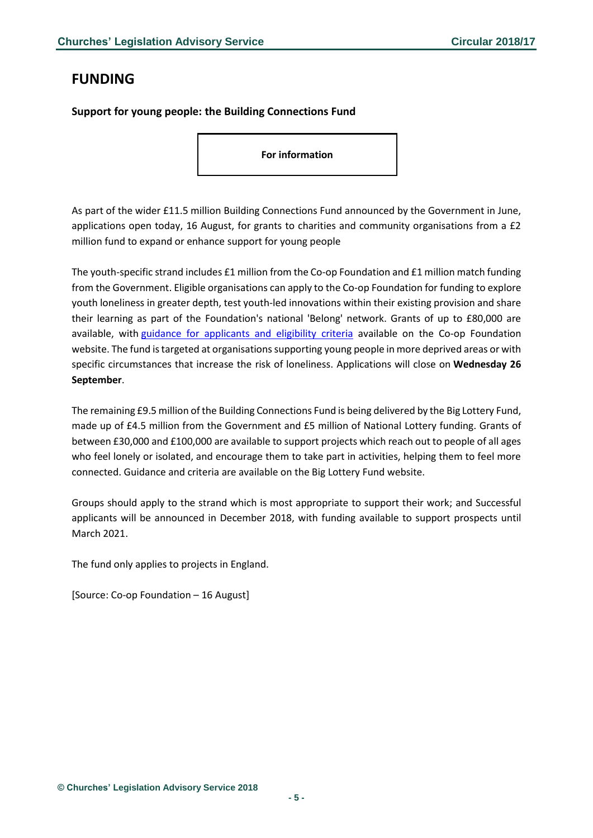## <span id="page-4-0"></span>**FUNDING**

<span id="page-4-1"></span>**Support for young people: the Building Connections Fund**

**For information**

As part of the wider £11.5 million Building Connections Fund announced by the Government in June, applications open today, 16 August, for grants to charities and community organisations from a £2 million fund to expand or enhance support for young people

The youth-specific strand includes £1 million from the Co-op Foundation and £1 million match funding from the Government. Eligible organisations can apply to the Co-op Foundation for funding to explore youth loneliness in greater depth, test youth-led innovations within their existing provision and share their learning as part of the Foundation's national 'Belong' network. Grants of up to £80,000 are available, with [guidance for applicants and eligibility criteria](https://blog.coopfoundation.org.uk/index.php/2018/08/15/2-million-youth-strand-of-building-connections-fund-open/) available on the Co-op Foundation website. The fund is targeted at organisations supporting young people in more deprived areas or with specific circumstances that increase the risk of loneliness. Applications will close on **Wednesday 26 September**.

The remaining £9.5 million of the Building Connections Fund is being delivered by the Big Lottery Fund, made up of £4.5 million from the Government and £5 million of National Lottery funding. Grants of between £30,000 and £100,000 are available to support projects which reach out to people of all ages who feel lonely or isolated, and encourage them to take part in activities, helping them to feel more connected. Guidance and criteria are available on the Big Lottery Fund website.

Groups should apply to the strand which is most appropriate to support their work; and Successful applicants will be announced in December 2018, with funding available to support prospects until March 2021.

The fund only applies to projects in England.

[Source: Co-op Foundation – 16 August]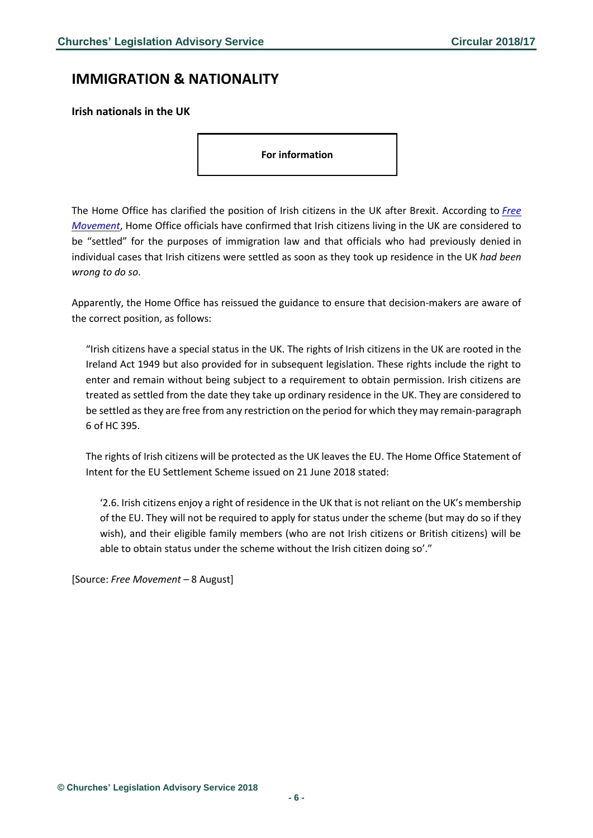### <span id="page-5-0"></span>**IMMIGRATION & NATIONALITY**

<span id="page-5-1"></span>**Irish nationals in the UK**

**For information**

The Home Office has clarified the position of Irish citizens in the UK after Brexit. According to *[Free](https://www.freemovement.org.uk/home-office-concedes-that-irish-citizens-are-settled-in-the-uk/?utm_source=rss&utm_medium=rss&utm_campaign=home-office-concedes-that-irish-citizens-are-settled-in-the-uk)  [Movement](https://www.freemovement.org.uk/home-office-concedes-that-irish-citizens-are-settled-in-the-uk/?utm_source=rss&utm_medium=rss&utm_campaign=home-office-concedes-that-irish-citizens-are-settled-in-the-uk)*, Home Office officials have confirmed that Irish citizens living in the UK are considered to be "settled" for the purposes of immigration law and that officials who had previously denied in individual cases that Irish citizens were settled as soon as they took up residence in the UK *had been wrong to do so*.

Apparently, the Home Office has reissued the guidance to ensure that decision-makers are aware of the correct position, as follows:

"Irish citizens have a special status in the UK. The rights of Irish citizens in the UK are rooted in the Ireland Act 1949 but also provided for in subsequent legislation. These rights include the right to enter and remain without being subject to a requirement to obtain permission. Irish citizens are treated as settled from the date they take up ordinary residence in the UK. They are considered to be settled as they are free from any restriction on the period for which they may remain-paragraph 6 of HC 395.

The rights of Irish citizens will be protected as the UK leaves the EU. The Home Office Statement of Intent for the EU Settlement Scheme issued on 21 June 2018 stated:

'2.6. Irish citizens enjoy a right of residence in the UK that is not reliant on the UK's membership of the EU. They will not be required to apply for status under the scheme (but may do so if they wish), and their eligible family members (who are not Irish citizens or British citizens) will be able to obtain status under the scheme without the Irish citizen doing so'."

[Source: *Free Movement* – 8 August]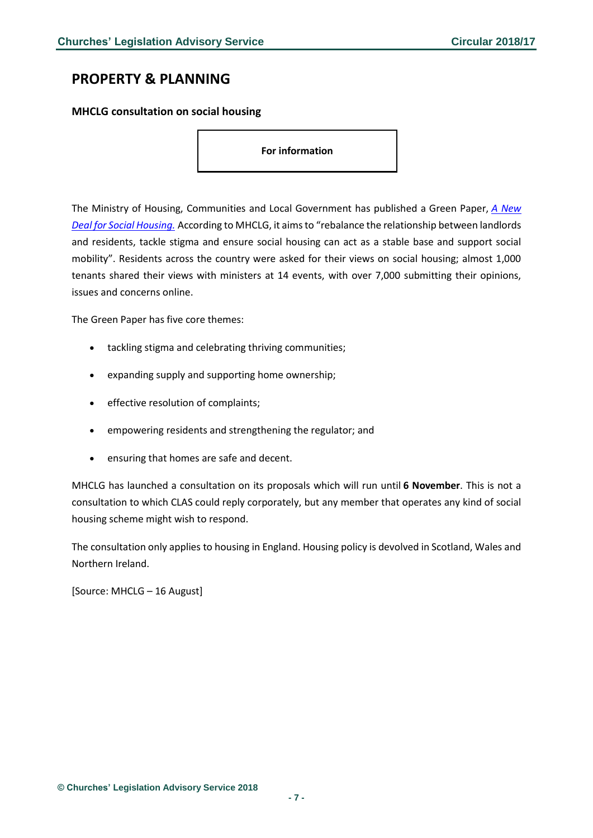### <span id="page-6-0"></span>**PROPERTY & PLANNING**

#### <span id="page-6-1"></span>**MHCLG consultation on social housing**

**For information** 

The Ministry of Housing, Communities and Local Government has published a Green Paper, *[A New](https://assets.publishing.service.gov.uk/government/uploads/system/uploads/attachment_data/file/733605/A_new_deal_for_social_housing_web_accessible.pdf)  [Deal for Social Housing.](https://assets.publishing.service.gov.uk/government/uploads/system/uploads/attachment_data/file/733605/A_new_deal_for_social_housing_web_accessible.pdf)* According to MHCLG, it aims to "rebalance the relationship between landlords and residents, tackle stigma and ensure social housing can act as a stable base and support social mobility". Residents across the country were asked for their views on social housing; almost 1,000 tenants shared their views with ministers at 14 events, with over 7,000 submitting their opinions, issues and concerns online.

The Green Paper has five core themes:

- tackling stigma and celebrating thriving communities;
- expanding supply and supporting home ownership;
- effective resolution of complaints;
- empowering residents and strengthening the regulator; and
- ensuring that homes are safe and decent.

MHCLG has launched a consultation on its proposals which will run until **6 November**. This is not a consultation to which CLAS could reply corporately, but any member that operates any kind of social housing scheme might wish to respond.

The consultation only applies to housing in England. Housing policy is devolved in Scotland, Wales and Northern Ireland.

[Source: MHCLG – 16 August]